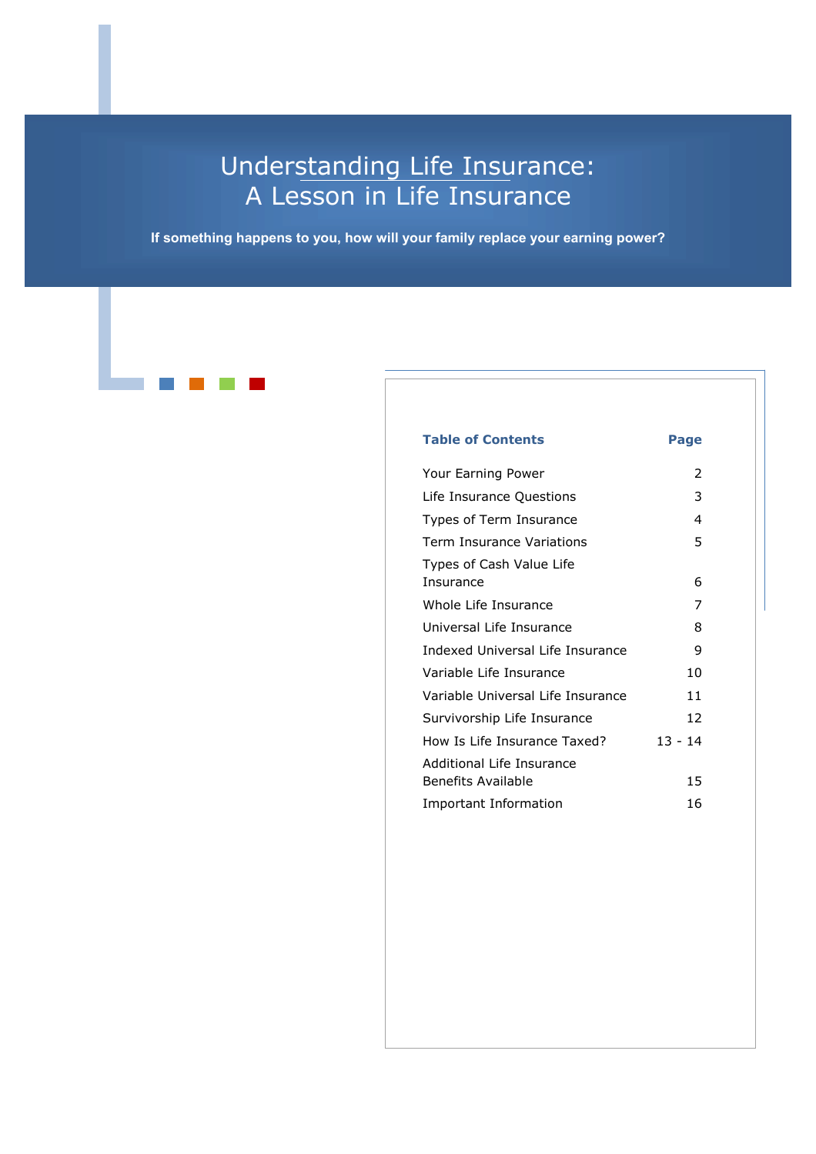## Understanding Life Insurance: A Lesson in Life Insurance

**If something happens to you, how will your family replace your earning power?**

### **Table of Contents Page** Your Earning Power 2 Life Insurance Questions 3 Types of Term Insurance 4 Term Insurance Variations 5 Types of Cash Value Life Insurance 6 Whole Life Insurance 7 Universal Life Insurance 8 Indexed Universal Life Insurance 9 Variable Life Insurance 10 Variable Universal Life Insurance 11 Survivorship Life Insurance 12 How Is Life Insurance Taxed? 13 - 14 Additional Life Insurance Benefits Available 15 Important Information 16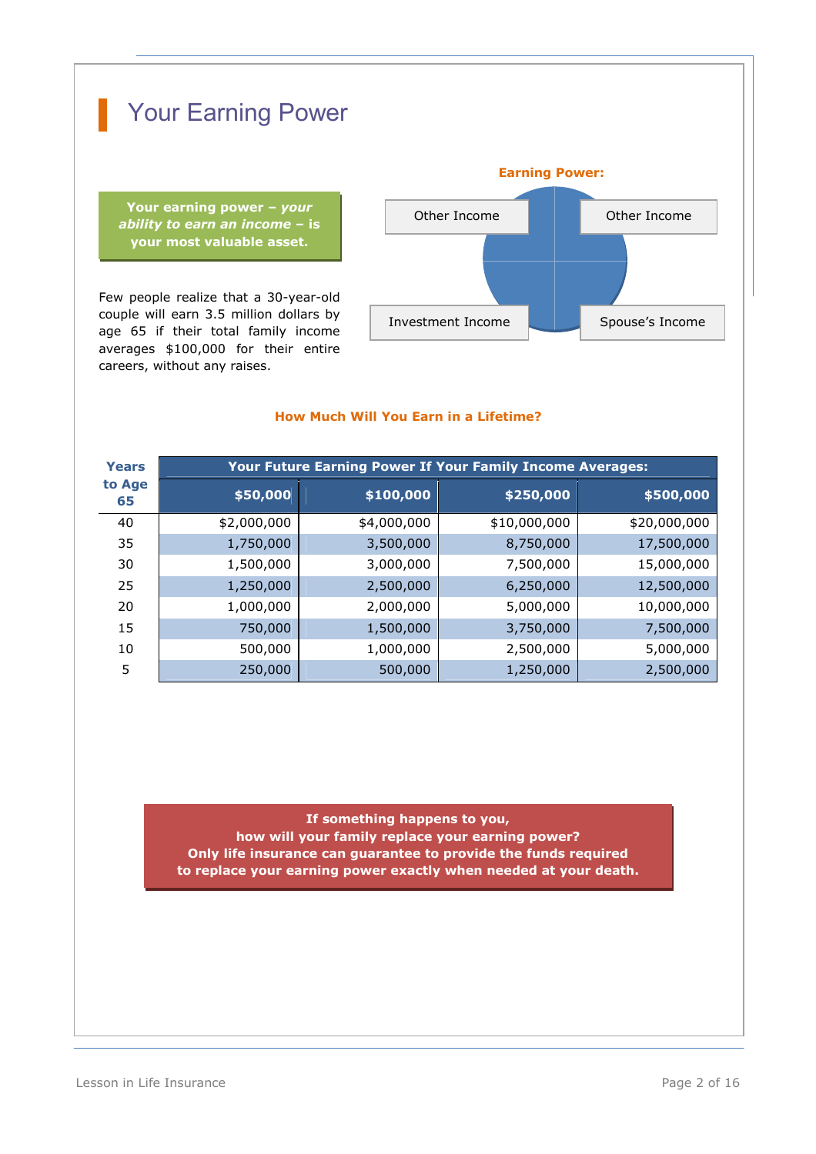

**Your earning power –***your ability to earn an income* **–is your most valuable asset.**

Few people realize that a 30-year-old couple will earn 3.5 million dollars by age 65 if their total family income averages \$100,000 for their entire careers, without any raises.



### **How Much Will You Earn in a Lifetime?**

| Years        | <b>Your Future Earning Power If Your Family Income Averages:</b> |             |              |              |  |
|--------------|------------------------------------------------------------------|-------------|--------------|--------------|--|
| to Age<br>65 | \$50,000                                                         | \$100,000   | \$250,000    | \$500,000    |  |
| 40           | \$2,000,000                                                      | \$4,000,000 | \$10,000,000 | \$20,000,000 |  |
| 35           | 1,750,000                                                        | 3,500,000   | 8,750,000    | 17,500,000   |  |
| 30           | 1,500,000                                                        | 3,000,000   | 7,500,000    | 15,000,000   |  |
| 25           | 1,250,000                                                        | 2,500,000   | 6,250,000    | 12,500,000   |  |
| 20           | 1,000,000                                                        | 2,000,000   | 5,000,000    | 10,000,000   |  |
| 15           | 750,000                                                          | 1,500,000   | 3,750,000    | 7,500,000    |  |
| 10           | 500,000                                                          | 1,000,000   | 2,500,000    | 5,000,000    |  |
| 5            | 250,000                                                          | 500,000     | 1,250,000    | 2,500,000    |  |

**If something happens to you, how will your family replace your earning power? Only life insurance can guarantee to provide the funds required to replace your earning power exactly when needed at your death.**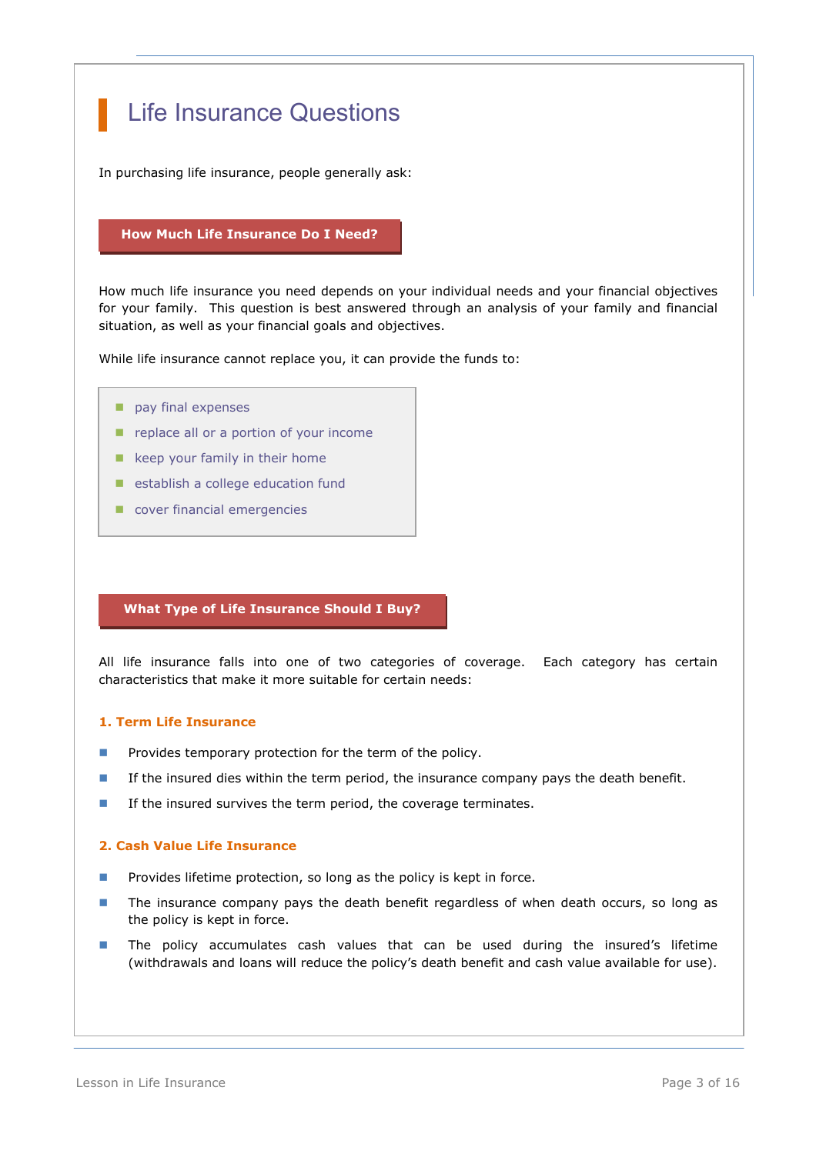## Life Insurance Questions

In purchasing life insurance, people generally ask:

### **How Much Life Insurance Do I Need?**

How much life insurance you need depends on your individual needs and your financial objectives for your family. This question is best answered through an analysis of your family and financial situation, as well as your financial goals and objectives.

While life insurance cannot replace you, it can provide the funds to:

- pay final expenses
- replace all or a portion of your income

provide a child and or home care fund and or home care fund and or home care fund and or  $\sim$ 

- $\blacksquare$  keep your family in their home
- establish a college education fund
- cover financial emergencies

#### **What Type of Life Insurance Should I Buy?**

All life insurance falls into one of two categories of coverage. Each category has certain characteristics that make it more suitable for certain needs:

### **1. Term Life Insurance**

- **Provides temporary protection for the term of the policy.**
- If the insured dies within the term period, the insurance company pays the death benefit.
- **If the insured survives the term period, the coverage terminates.**

### **2. Cash Value Life Insurance**

- **Provides lifetime protection, so long as the policy is kept in force.**
- **The insurance company pays the death benefit regardless of when death occurs, so long as** the policy is kept in force.
- **The policy accumulates cash values that can be used during the insured's lifetime** (withdrawals and loans will reduce the policy's death benefit and cash value available for use).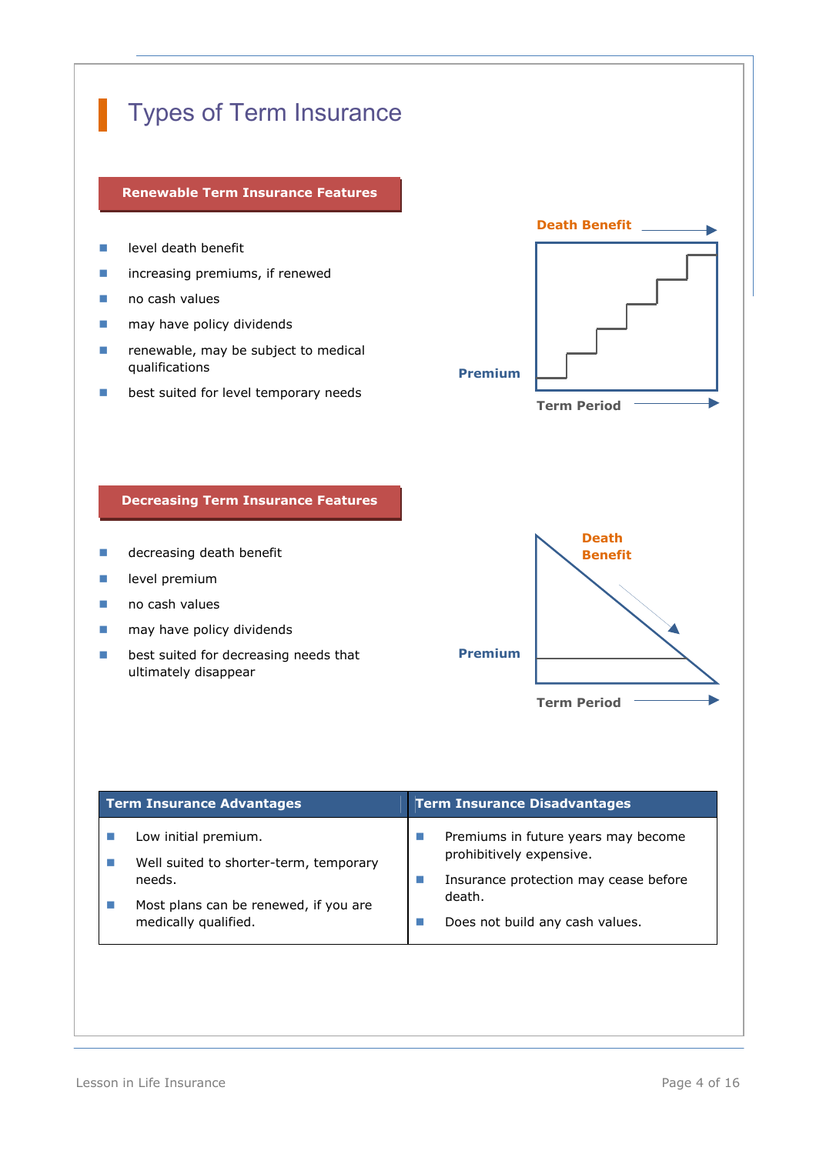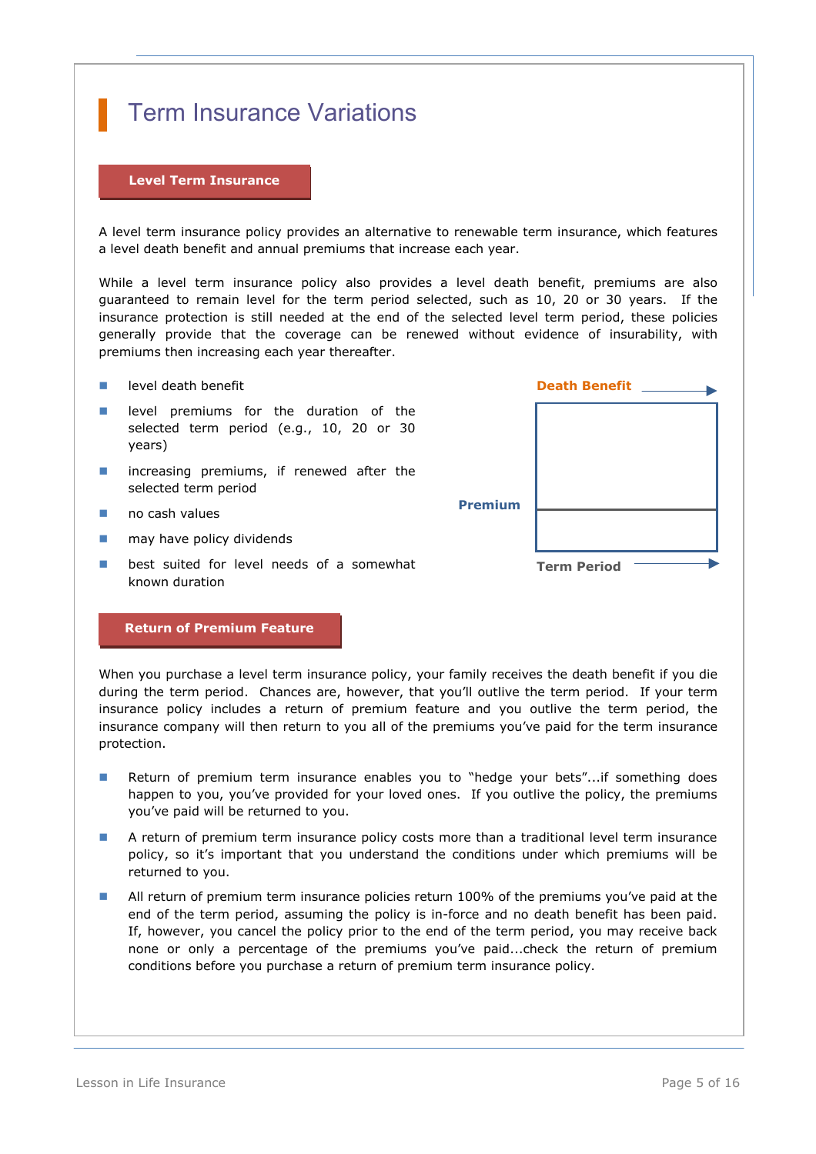## Term Insurance Variations

### **Level Term Insurance**

A level term insurance policy provides an alternative to renewable term insurance, which features a level death benefit and annual premiums that increase each year.

While a level term insurance policy also provides a level death benefit, premiums are also guaranteed to remain level for the term period selected, such as 10, 20 or 30 years. If the insurance protection is still needed at the end of the selected level term period, these policies generally provide that the coverage can be renewed without evidence of insurability, with premiums then increasing each year thereafter.

- **Lack Level death benefit**
- **level premiums for the duration of the** selected term period (e.g., 10, 20 or 30 years)
- **n** increasing premiums, if renewed after the selected term period
- $\blacksquare$  no cash values
- may have policy dividends
- **B** best suited for level needs of a somewhat known duration



### **Return of Premium Feature**

When you purchase a level term insurance policy, your family receives the death benefit if you die during the term period. Chances are, however, that you'll outlive the term period. If your term insurance policy includes a return of premium feature and you outlive the term period, the insurance company will then return to you all of the premiums you've paid for the term insurance protection.

- Return of premium term insurance enables you to "hedge your bets"...if something does happen to you, you've provided for your loved ones. If you outlive the policy, the premiums you've paid will be returned to you.
- **A** return of premium term insurance policy costs more than a traditional level term insurance policy, so it's important that you understand the conditions under which premiums will be returned to you.
- All return of premium term insurance policies return 100% of the premiums you've paid at the end of the term period, assuming the policy is in-force and no death benefit has been paid. If, however, you cancel the policy prior to the end of the term period, you may receive back none or only a percentage of the premiums you've paid...check the return of premium conditions before you purchase a return of premium term insurance policy.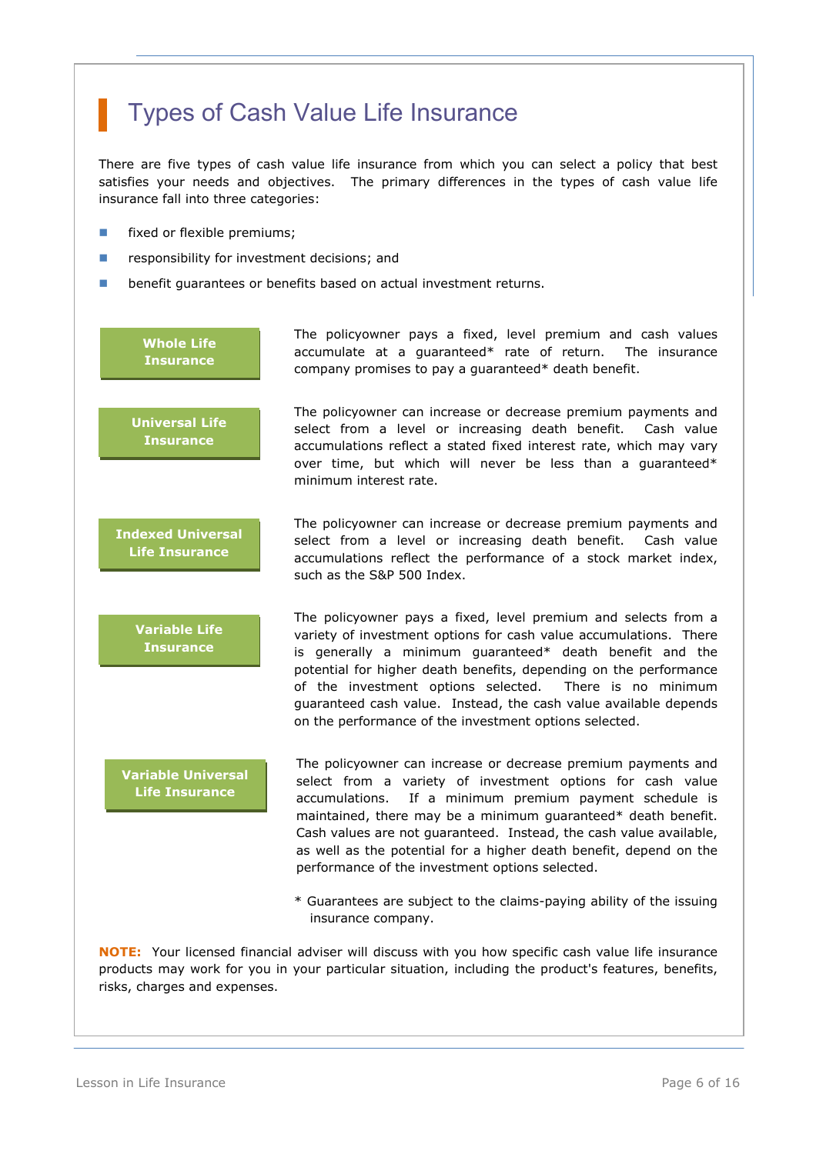## Types of Cash Value Life Insurance

There are five types of cash value life insurance from which you can select a policy that best satisfies your needs and objectives. The primary differences in the types of cash value life insurance fall into three categories:

- **Fixed or flexible premiums;**
- **F** responsibility for investment decisions; and
- **b** benefit quarantees or benefits based on actual investment returns.

### **Whole Life Insurance**

The policyowner pays a fixed, level premium and cash values accumulate at a guaranteed\* rate of return. The insurance company promises to pay a guaranteed\* death benefit.

The policyowner can increase or decrease premium payments and select from a level or increasing death benefit. Cash value accumulations reflect a stated fixed interest rate, which may vary

**Universal Life Insurance**

**Indexed Universal Life Insurance**

> **Variable Life Insurance**

**Variable Universal Life Insurance**

over time, but which will never be less than a guaranteed\* minimum interest rate. The policyowner can increase or decrease premium payments and

select from a level or increasing death benefit. Cash value accumulations reflect the performance of a stock market index, such as the S&P 500 Index.

The policyowner pays a fixed, level premium and selects from a variety of investment options for cash value accumulations. There is generally a minimum guaranteed\* death benefit and the potential for higher death benefits, depending on the performance of the investment options selected. There is no minimum guaranteed cash value. Instead, the cash value available depends on the performance of the investment options selected.

The policyowner can increase or decrease premium payments and select from a variety of investment options for cash value accumulations. If a minimum premium payment schedule is maintained, there may be a minimum guaranteed\* death benefit. Cash values are not guaranteed. Instead, the cash value available, as well as the potential for a higher death benefit, depend on the performance of the investment options selected.

\* Guarantees are subject to the claims-paying ability of the issuing insurance company.

**NOTE:** Your licensed financial adviser will discuss with you how specific cash value life insurance products may work for you in your particular situation, including the product's features, benefits, risks, charges and expenses.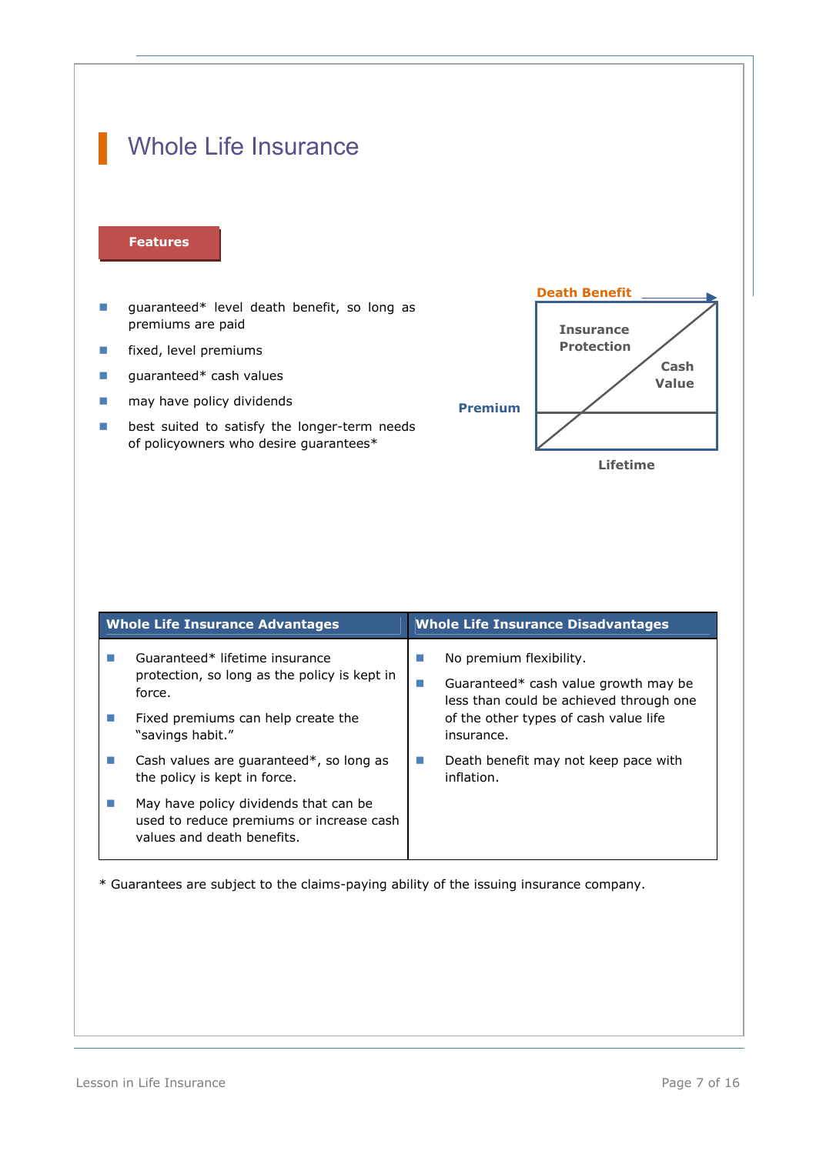## Whole Life Insurance

#### **Features**

- **quaranteed\*** level death benefit, so long as premiums are paid
- **Fixed, level premiums**
- quaranteed $*$  cash values
- **n** may have policy dividends
- **best suited to satisfy the longer-term needs** of policyowners who desire guarantees\*



| <b>Whole Life Insurance Advantages</b>                                                                                                             | <b>Whole Life Insurance Disadvantages</b>                                                                                                                              |  |
|----------------------------------------------------------------------------------------------------------------------------------------------------|------------------------------------------------------------------------------------------------------------------------------------------------------------------------|--|
| Guaranteed* lifetime insurance<br>protection, so long as the policy is kept in<br>force.<br>Fixed premiums can help create the<br>"savings habit." | No premium flexibility.<br>Guaranteed* cash value growth may be<br>ш<br>less than could be achieved through one<br>of the other types of cash value life<br>insurance. |  |
| Cash values are guaranteed*, so long as<br>the policy is kept in force.                                                                            | Death benefit may not keep pace with<br><b>The State</b><br>inflation.                                                                                                 |  |
| May have policy dividends that can be<br>used to reduce premiums or increase cash<br>values and death benefits.                                    |                                                                                                                                                                        |  |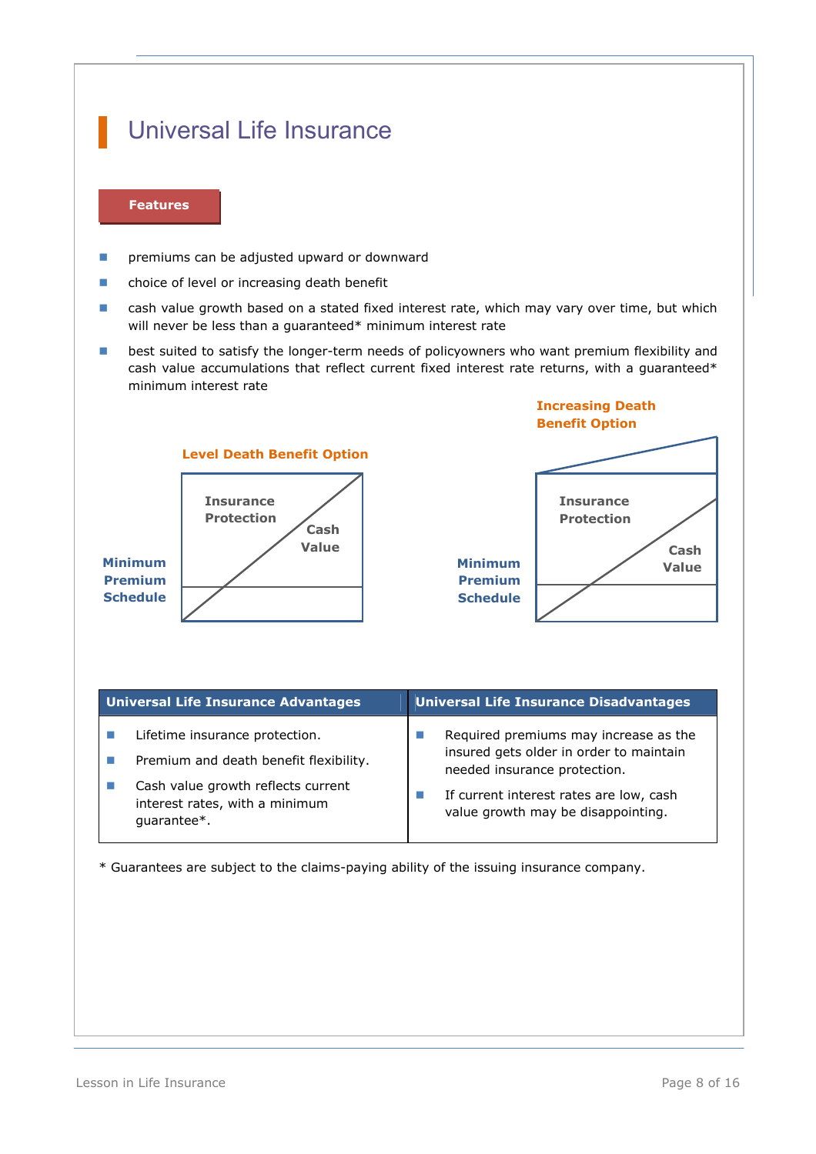## Universal Life Insurance

### **Features**

- **Part of the original remains can be adjusted upward or downward**
- **n** choice of level or increasing death benefit
- **E** cash value growth based on a stated fixed interest rate, which may vary over time, but which will never be less than a guaranteed\* minimum interest rate
- **B** best suited to satisfy the longer-term needs of policyowners who want premium flexibility and cash value accumulations that reflect current fixed interest rate returns, with a quaranteed $*$ minimum interest rate



| <b>Universal Life Insurance Advantages</b> | Universal Life Insurance Disadvantages  |  |
|--------------------------------------------|-----------------------------------------|--|
| Lifetime insurance protection.             | Required premiums may increase as the   |  |
| Premium and death benefit flexibility.     | insured gets older in order to maintain |  |
| Cash value growth reflects current         | needed insurance protection.            |  |
| interest rates, with a minimum             | If current interest rates are low, cash |  |
| quarantee*.                                | value growth may be disappointing.      |  |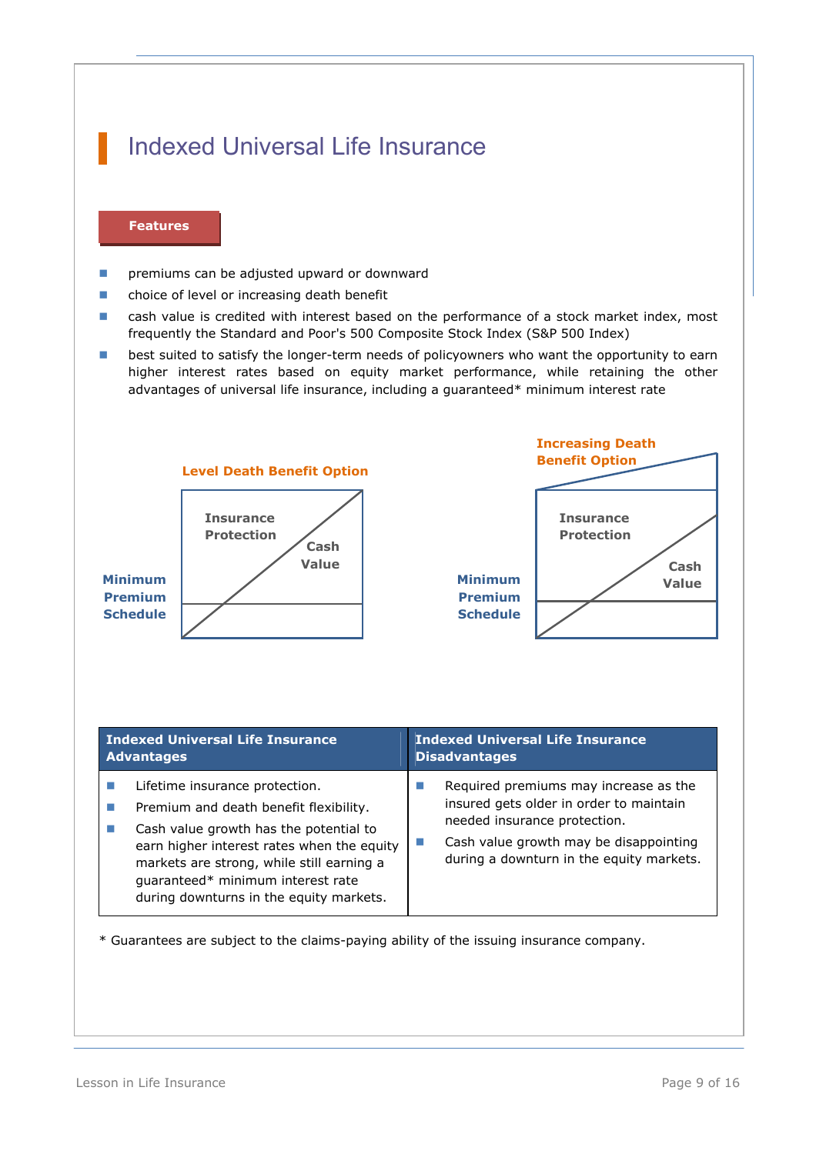## Indexed Universal Life Insurance

### **Features**

- **Part of the canadity of the adjusted upward or downward**
- **n** choice of level or increasing death benefit
- **EXEC** cash value is credited with interest based on the performance of a stock market index, most frequently the Standard and Poor's 500 Composite Stock Index (S&P 500 Index)
- **best suited to satisfy the longer-term needs of policyowners who want the opportunity to earn** higher interest rates based on equity market performance, while retaining the other advantages of universal life insurance, including a guaranteed\* minimum interest rate



- Cash value growth has the potential to earn higher interest rates when the equity markets are strong, while still earning a guaranteed\* minimum interest rate during downturns in the equity markets.
	- $\Box$  Cash value growth may be disappointing during a downturn in the equity markets.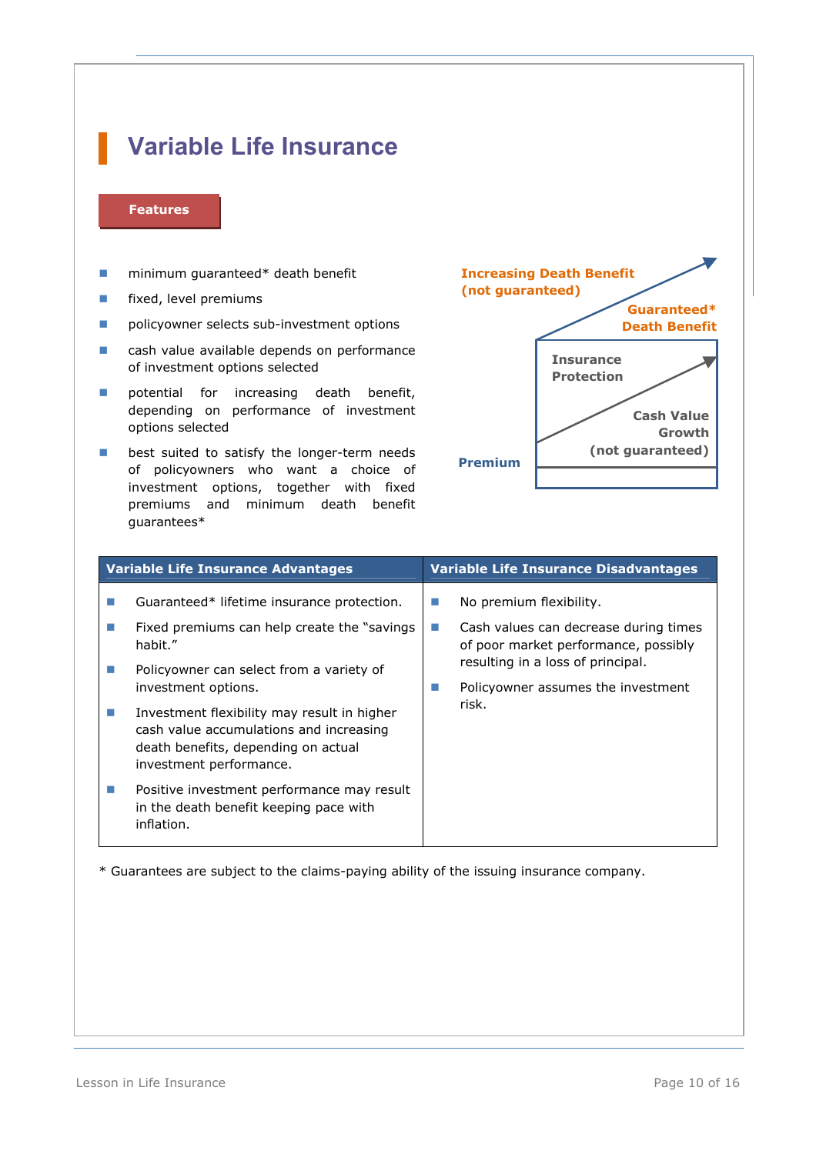## **Variable Life Insurance**

### **Features**

- **n** minimum guaranteed\* death benefit
- **Fixed, level premiums**
- **P** policyowner selects sub-investment options
- cash value available depends on performance of investment options selected
- potential for increasing death benefit, depending on performance of investment options selected
- **best suited to satisfy the longer-term needs** of policyowners who want a choice of investment options, together with fixed premiums and minimum death benefit guarantees\*



| <b>Variable Life Insurance Advantages</b>                                                                                                                                                                                                                                                                                                                                                                                                  | <b>Variable Life Insurance Disadvantages</b>                                                                                                                                                             |  |
|--------------------------------------------------------------------------------------------------------------------------------------------------------------------------------------------------------------------------------------------------------------------------------------------------------------------------------------------------------------------------------------------------------------------------------------------|----------------------------------------------------------------------------------------------------------------------------------------------------------------------------------------------------------|--|
| Guaranteed* lifetime insurance protection.<br>Fixed premiums can help create the "savings"<br>habit."<br>Policyowner can select from a variety of<br>investment options.<br>Investment flexibility may result in higher<br>cash value accumulations and increasing<br>death benefits, depending on actual<br>investment performance.<br>Positive investment performance may result<br>in the death benefit keeping pace with<br>inflation. | No premium flexibility.<br>Cash values can decrease during times<br>a a<br>of poor market performance, possibly<br>resulting in a loss of principal.<br>Policyowner assumes the investment<br>ш<br>risk. |  |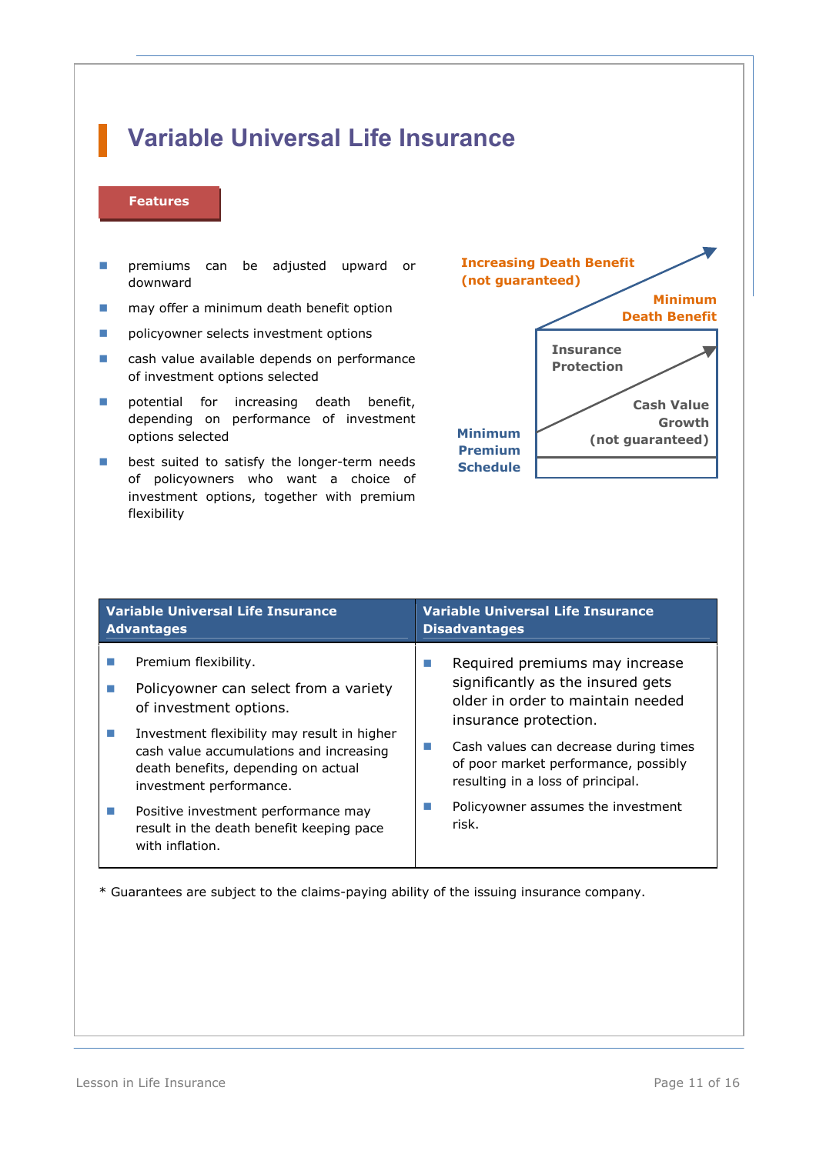# **Variable Universal Life Insurance**

### **Features**

- **Part of the remiums** can be adjusted upward or downward
- **n** may offer a minimum death benefit option
- **Part of policyowner selects investment options**
- cash value available depends on performance of investment options selected
- potential for increasing death benefit, depending on performance of investment options selected
- **best suited to satisfy the longer-term needs** of policyowners who want a choice of investment options, together with premium flexibility



| <b>Variable Universal Life Insurance</b><br><b>Advantages</b>                                                                                                                                                                                       | <b>Variable Universal Life Insurance</b><br><b>Disadvantages</b>                                                                                                                                                                                                    |  |
|-----------------------------------------------------------------------------------------------------------------------------------------------------------------------------------------------------------------------------------------------------|---------------------------------------------------------------------------------------------------------------------------------------------------------------------------------------------------------------------------------------------------------------------|--|
| Premium flexibility.<br>Policyowner can select from a variety<br>of investment options.<br>Investment flexibility may result in higher<br>cash value accumulations and increasing<br>death benefits, depending on actual<br>investment performance. | Required premiums may increase<br>×.<br>significantly as the insured gets<br>older in order to maintain needed<br>insurance protection.<br>Cash values can decrease during times<br>×.<br>of poor market performance, possibly<br>resulting in a loss of principal. |  |
| Positive investment performance may<br>result in the death benefit keeping pace<br>with inflation.                                                                                                                                                  | Policyowner assumes the investment<br>risk.                                                                                                                                                                                                                         |  |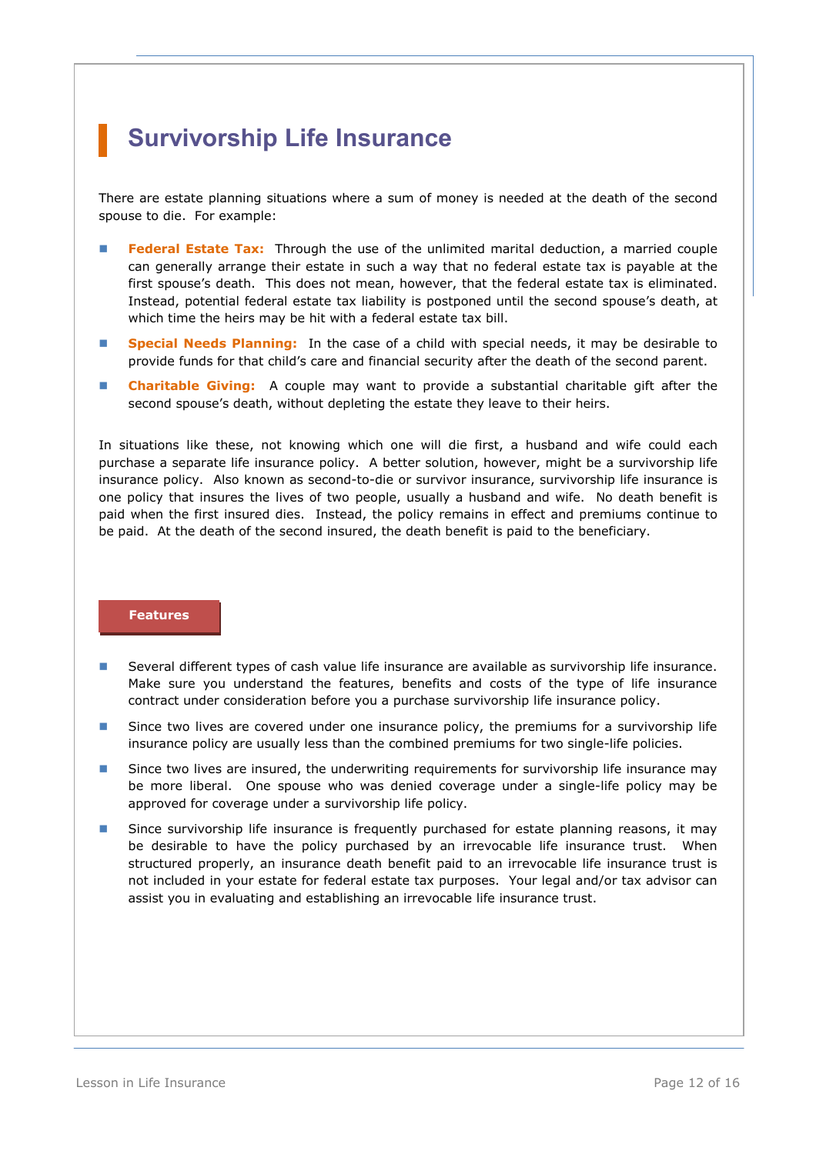## **Survivorship Life Insurance**

There are estate planning situations where a sum of money is needed at the death of the second spouse to die. For example:

- **Federal Estate Tax:** Through the use of the unlimited marital deduction, a married couple can generally arrange their estate in such a way that no federal estate tax is payable at the first spouse's death. This does not mean, however, that the federal estate tax is eliminated. Instead, potential federal estate tax liability is postponed until the second spouse's death, at which time the heirs may be hit with a federal estate tax bill.
- **Special Needs Planning:** In the case of a child with special needs, it may be desirable to provide funds for that child's care and financial security after the death of the second parent.
- **Charitable Giving:** A couple may want to provide a substantial charitable gift after the second spouse's death, without depleting the estate they leave to their heirs.

In situations like these, not knowing which one will die first, a husband and wife could each purchase a separate life insurance policy. A better solution, however, might be a survivorship life insurance policy. Also known as second-to-die or survivor insurance, survivorship life insurance is one policy that insures the lives of two people, usually a husband and wife. No death benefit is paid when the first insured dies. Instead, the policy remains in effect and premiums continue to be paid. At the death of the second insured, the death benefit is paid to the beneficiary.

### **Features**

- **Several different types of cash value life insurance are available as survivorship life insurance.** Make sure you understand the features, benefits and costs of the type of life insurance contract under consideration before you a purchase survivorship life insurance policy.
- **Since two lives are covered under one insurance policy, the premiums for a survivorship life** insurance policy are usually less than the combined premiums for two single-life policies.
- **Since two lives are insured, the underwriting requirements for survivorship life insurance may** be more liberal. One spouse who was denied coverage under a single-life policy may be approved for coverage under a survivorship life policy.
- **Since survivorship life insurance is frequently purchased for estate planning reasons, it may** be desirable to have the policy purchased by an irrevocable life insurance trust. When structured properly, an insurance death benefit paid to an irrevocable life insurance trust is not included in your estate for federal estate tax purposes. Your legal and/or tax advisor can assist you in evaluating and establishing an irrevocable life insurance trust.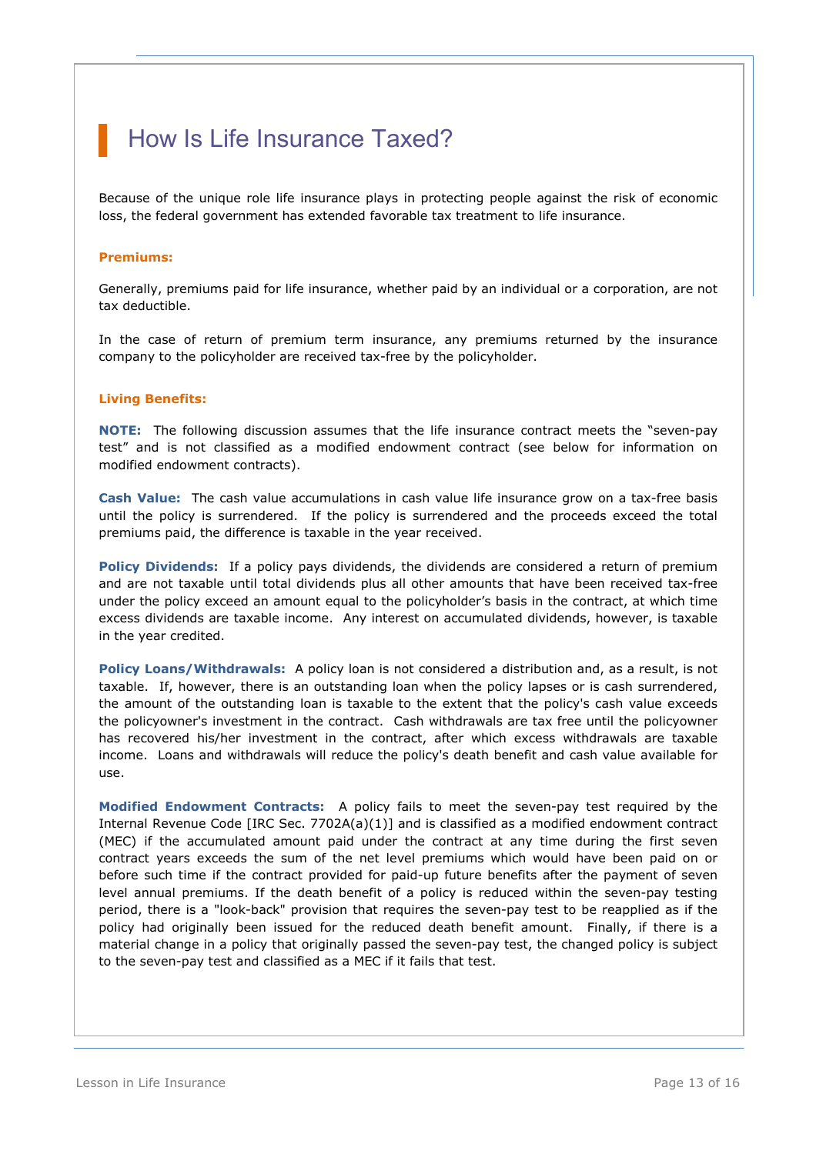## How Is Life Insurance Taxed?

Because of the unique role life insurance plays in protecting people against the risk of economic loss, the federal government has extended favorable tax treatment to life insurance.

### **Premiums:**

Generally, premiums paid for life insurance, whether paid by an individual or a corporation, are not tax deductible.

In the case of return of premium term insurance, any premiums returned by the insurance company to the policyholder are received tax-free by the policyholder.

### **Living Benefits:**

**NOTE:** The following discussion assumes that the life insurance contract meets the "seven-pay test" and is not classified as a modified endowment contract (see below for information on modified endowment contracts).

**Cash Value:** The cash value accumulations in cash value life insurance grow on a tax-free basis until the policy is surrendered. If the policy is surrendered and the proceeds exceed the total premiums paid, the difference is taxable in the year received.

**Policy Dividends:** If a policy pays dividends, the dividends are considered a return of premium and are not taxable until total dividends plus all other amounts that have been received tax-free under the policy exceed an amount equal to the policyholder's basis in the contract, at which time excess dividends are taxable income. Any interest on accumulated dividends, however, is taxable in the year credited.

**Policy Loans/Withdrawals:** A policy loan is not considered a distribution and, as a result, is not taxable. If, however, there is an outstanding loan when the policy lapses or is cash surrendered, the amount of the outstanding loan is taxable to the extent that the policy's cash value exceeds the policyowner's investment in the contract. Cash withdrawals are tax free until the policyowner has recovered his/her investment in the contract, after which excess withdrawals are taxable income. Loans and withdrawals will reduce the policy's death benefit and cash value available for use.

**Modified Endowment Contracts:** A policy fails to meet the seven-pay test required by the Internal Revenue Code [IRC Sec. 7702A(a)(1)] and is classified as a modified endowment contract (MEC) if the accumulated amount paid under the contract at any time during the first seven contract years exceeds the sum of the net level premiums which would have been paid on or before such time if the contract provided for paid-up future benefits after the payment of seven level annual premiums. If the death benefit of a policy is reduced within the seven-pay testing period, there is a "look-back" provision that requires the seven-pay test to be reapplied as if the policy had originally been issued for the reduced death benefit amount. Finally, if there is a material change in a policy that originally passed the seven-pay test, the changed policy is subject to the seven-pay test and classified as a MEC if it fails that test.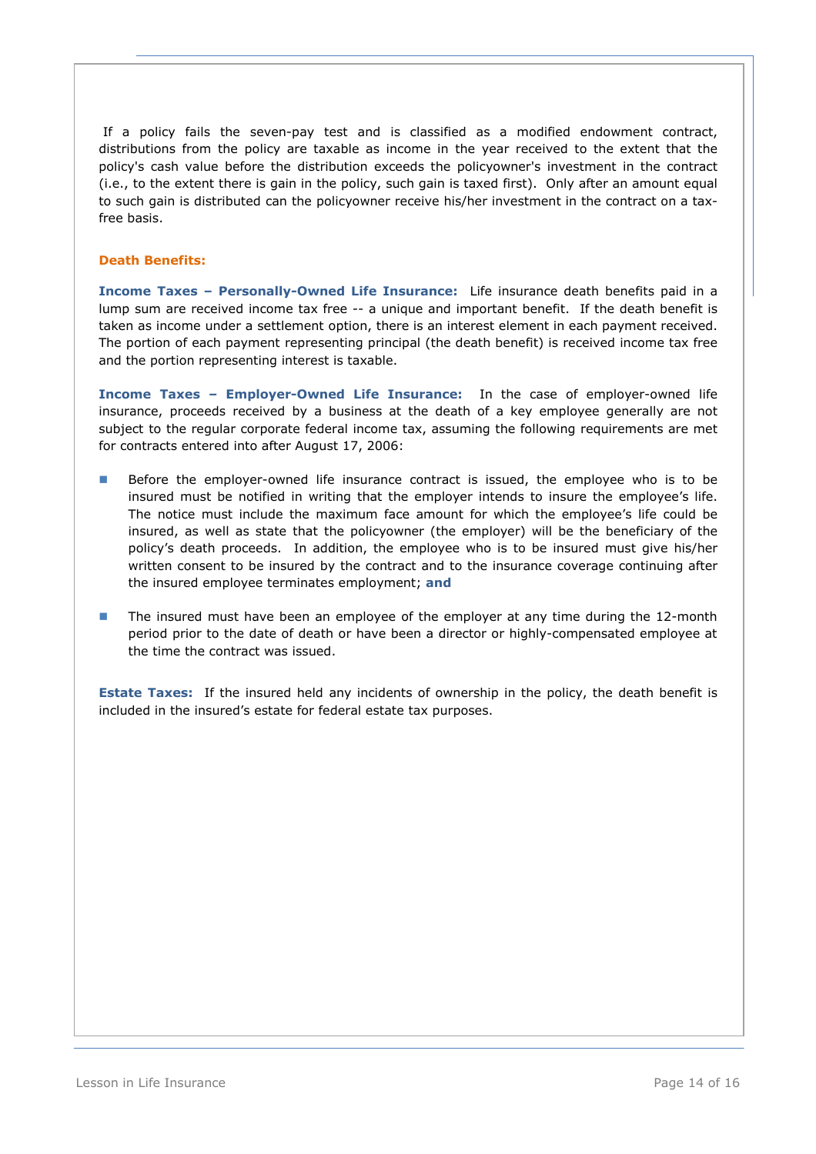If a policy fails the seven-pay test and is classified as a modified endowment contract, distributions from the policy are taxable as income in the year received to the extent that the policy's cash value before the distribution exceeds the policyowner's investment in the contract (i.e., to the extent there is gain in the policy, such gain is taxed first). Only after an amount equal to such gain is distributed can the policyowner receive his/her investment in the contract on a taxfree basis.

### **Death Benefits:**

**Income Taxes – Personally-Owned Life Insurance:** Life insurance death benefits paid in a lump sum are received income tax free -- a unique and important benefit. If the death benefit is taken as income under a settlement option, there is an interest element in each payment received. The portion of each payment representing principal (the death benefit) is received income tax free and the portion representing interest is taxable.

**Income Taxes – Employer-Owned Life Insurance:** In the case of employer-owned life insurance, proceeds received by a business at the death of a key employee generally are not subject to the regular corporate federal income tax, assuming the following requirements are met for contracts entered into after August 17, 2006:

- Before the employer-owned life insurance contract is issued, the employee who is to be insured must be notified in writing that the employer intends to insure the employee's life. The notice must include the maximum face amount for which the employee's life could be insured, as well as state that the policyowner (the employer) will be the beneficiary of the policy's death proceeds. In addition, the employee who is to be insured must give his/her written consent to be insured by the contract and to the insurance coverage continuing after the insured employee terminates employment; **and**
- **The insured must have been an employee of the employer at any time during the 12-month** period prior to the date of death or have been a director or highly-compensated employee at the time the contract was issued.

**Estate Taxes:** If the insured held any incidents of ownership in the policy, the death benefit is included in the insured's estate for federal estate tax purposes.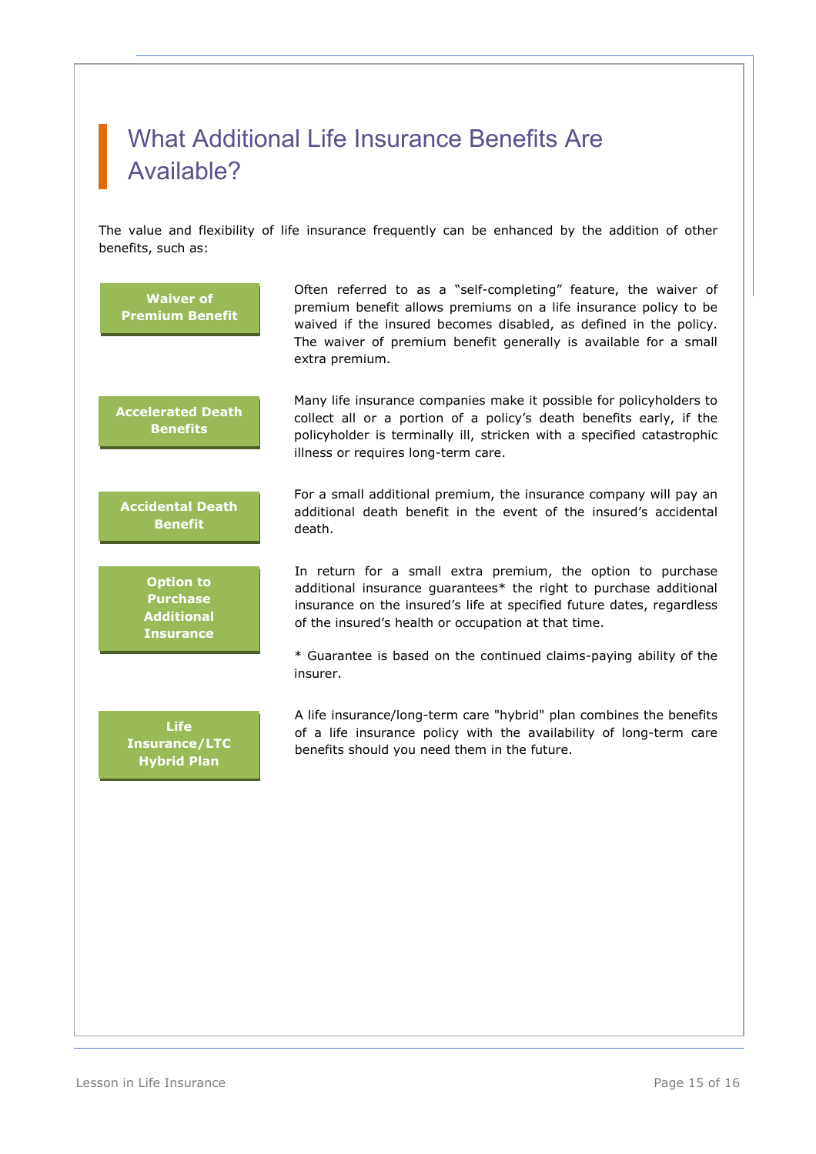## What Additional Life Insurance Benefits Are Available?

The value and flexibility of life insurance frequently can be enhanced by the addition of other benefits, such as: